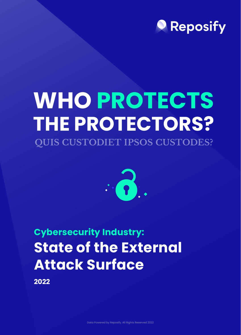**2022** 



# **QUIS CUSTODIET IPSOS CUSTODES? WHO PROTECTS THE PROTECTORS?**



**Cybersecurity Industry:**

## **State of the External Attack Surface**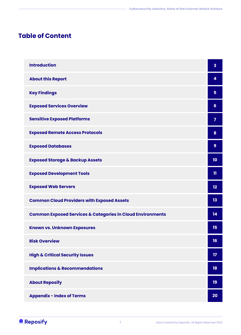## **Table of Content**

| <b>Introduction</b>                                                   | $\overline{\mathbf{3}}$ |
|-----------------------------------------------------------------------|-------------------------|
| <b>About this Report</b>                                              | 4                       |
| <b>Key Findings</b>                                                   | 5                       |
| <b>Exposed Services Overview</b>                                      | 6                       |
| <b>Sensitive Exposed Platforms</b>                                    | 7                       |
| <b>Exposed Remote Access Protocols</b>                                | 8                       |
| <b>Exposed Databases</b>                                              | 9                       |
| <b>Exposed Storage &amp; Backup Assets</b>                            | 10                      |
| <b>Exposed Development Tools</b>                                      | 11                      |
| <b>Exposed Web Servers</b>                                            | 12                      |
| <b>Common Cloud Providers with Exposed Assets</b>                     | 13                      |
| <b>Common Exposed Services &amp; Categories in Cloud Environments</b> | 14                      |
| <b>Known vs. Unknown Exposures</b>                                    | 15                      |

| <b>Risk Overview</b>                       | 16 |
|--------------------------------------------|----|
| <b>High &amp; Critical Security Issues</b> | 17 |
| <b>Implications &amp; Recommendations</b>  | 18 |
| <b>About Reposify</b>                      | 19 |
| <b>Appendix - Index of Terms</b>           | 20 |

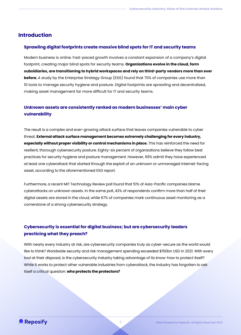3



#### **Introduction**

#### **Sprawling digital footprints create massive blind spots for IT and security teams**

#### **Unknown assets are consistently ranked as modern businesses' main cyber vulnerability**

#### **Cybersecurity is essential for digital business; but are cybersecurity leaders practicing what they preach?**

Modern business is online. Fast-paced growth involves a constant expansion of a company's digital footprint, creating major blind spots for security teams. **Organizations evolve in the cloud, form subsidiaries, are transitioning to hybrid workspaces and rely on third-party vendors more than ever before.** A study by the Enterprise Strategy Group (ESG) found that 70% of companies use more than 10 tools to manage security hygiene and posture. Digital footprints are sprawling and decentralized, making asset management far more difficult for IT and security teams.

The result is a complex and ever-growing attack surface that leaves companies vulnerable to cyber threat. **External attack surface management becomes extremely challenging for every industry, especially without proper visibility or control mechanisms in place.** This has reinforced the need for resilient, thorough cybersecurity posture. Eighty-six percent of organizations believe they follow best practices for security hygiene and posture management. However, 69% admit they have experienced at least one cyberattack that started through the exploit of an unknown or unmanaged internet-facing asset, according to the aforementioned ESG report.

Furthermore, a recent MIT Technology Review poll found that 51% of Asia-Pacific companies blame cyberattacks on unknown assets. In the same poll, 43% of respondents confirm more than half of their digital assets are stored in the cloud, while 67% of companies mark continuous asset monitoring as a cornerstone of a strong cybersecurity strategy.

With nearly every industry at risk, are cybersecurity companies truly as cyber-secure as the world would like to think? Worldwide security and risk management spending exceeded \$150bn USD in 2021. With every tool at their disposal, is the cybersecurity industry taking advantage of its know-how to protect itself? While it works to protect other vulnerable industries from cyberattack, the industry has forgotten to ask itself a critical question: **who protects the protectors?**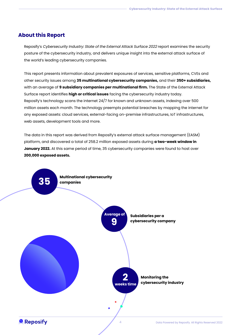#### **About this Report**

Reposify's Cybersecurity Industry: State of the External Attack Surface 2022 report examines the security posture of the cybersecurity industry, and delivers unique insight into the external attack surface of the world's leading cybersecurity companies.



This report presents information about prevalent exposures of services, sensitive platforms, CVEs and other security issues among **35 multinational cybersecurity companies,** and their **350+ subsidiaries,**  with an average of **9 subsidiary companies per multinational firm.** The State of the External Attack Surface report identifies **high or critical issues** facing the cybersecurity industry today. Reposify's technology scans the internet 24/7 for known and unknown assets, indexing over 500 million assets each month. The technology preempts potential breaches by mapping the internet for any exposed assets: cloud services, external-facing on-premise infrastructures, IoT infrastructures, web assets, development tools and more.

The data in this report was derived from Reposify's external attack surface management (EASM) platform, and discovered a total of 258.2 million exposed assets during **a two-week window in January 2022.** At this same period of time, 35 cybersecurity companies were found to host over **200,000 exposed assets.**



**9 Average of**

**Multinational cybersecurity companies**

> **Subsidiaries per a cybersecurity company**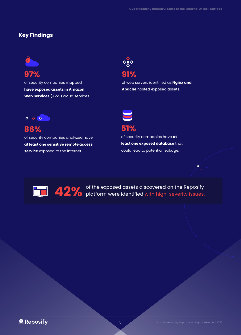## **Key Findings**

9

**42%** of the exposed assets discovered on the Reposity<br>platform were identified with high-severity issues. platform were identified with high-severity issues.



**97%** of security companies mapped **have exposed assets in Amazon Web Services** (AWS) cloud services.

**86%** of security companies analyzed have **at least one sensitive remote access service** exposed to the internet.



## **51%**

of security companies have **at least one exposed database** that could lead to potential leakage.





of web servers identified as **Nginx and Apache** hosted exposed assets.

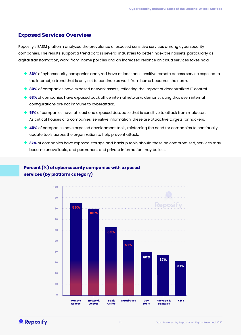#### **Exposed Services Overview**

## **Percent (%) of cybersecurity companies with exposed services (by platform category)**







- ◆ 86% of cybersecurity companies analyzed have at least one sensitive remote access service exposed to the internet; a trend that is only set to continue as work from home becomes the norm.
- **80%** of companies have exposed network assets; reflecting the impact of decentralized IT control.
- **63%** of companies have exposed back office internal networks demonstrating that even internal configurations are not immune to cyberattack.
- **51%** of companies have at least one exposed database that is sensitive to attack from malactors. As critical houses of a companies' sensitive information, these are attractive targets for hackers.
- **40%** of companies have exposed development tools, reinforcing the need for companies to continually update tools across the organization to help prevent attack.
- **37%** of companies have exposed storage and backup tools, should these be compromised, services may become unavailable, and permanent and private information may be lost.

Reposify's EASM platform analyzed the prevalence of exposed sensitive services among cybersecurity companies. The results support a trend across several industries to better index their assets, particularly as digital transformation, work-from-home policies and an increased reliance on cloud services takes hold.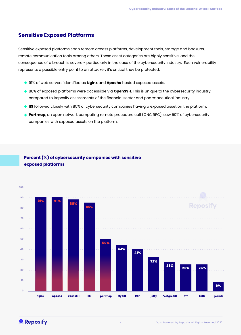#### **Sensitive Exposed Platforms**

#### **Percent (%) of cybersecurity companies with sensitive exposed platforms**



Sensitive exposed platforms span remote access platforms, development tools, storage and backups, remote communication tools among others. These asset categories are highly sensitive, and the consequence of a breach is severe - particularly in the case of the cybersecurity industry. Each vulnerability represents a possible entry point to an attacker; it's critical they be protected.

- 91% of web servers identified as **Nginx** and **Apache** hosted exposed assets.
- ◆ 88% of exposed platforms were accessible via **OpenSSH**. This is unique to the cybersecurity industry, compared to Reposify assessments of the financial sector and pharmaceutical industry.
- **IIS** followed closely with 85% of cybersecurity companies having a exposed asset on the platform.
- **Portmap**, an open network computing remote procedure call (ONC RPC), saw 50% of cybersecurity companies with exposed assets on the platform.



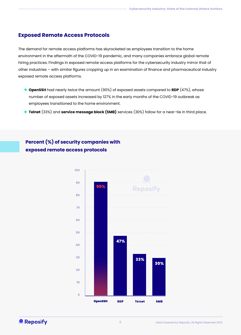#### **Exposed Remote Access Protocols**

## **Percent (%) of security companies with exposed remote access protocols**

The demand for remote access platforms has skyrocketed as employees transition to the home environment in the aftermath of the COVID-19 pandemic, and many companies embrace global remote hiring practices. Findings in exposed remote access platforms for the cybersecurity industry mirror that of other industries – with similar figures cropping up in an examination of finance and pharmaceutical industry exposed remote access platforms.

- **OpenSSH** had nearly twice the amount (90%) of exposed assets compared to **RDP** (47%), whose number of exposed assets increased by 127% in the early months of the COVID-19 outbreak as employees transitioned to the home environment.
- **Telnet** (33%) and **service message block (SMB)** services (30%) follow for a near-tie in third place.



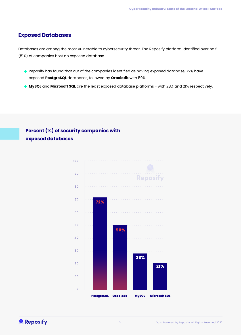#### **Exposed Databases**

## **Percent (%) of security companies with exposed databases**

Databases are among the most vulnerable to cybersecurity threat. The Reposify platform identified over half (51%) of companies host an exposed database.

- Reposify has found that out of the companies identified as having exposed database, 72% have exposed **PostgreSQL** databases, followed by **Oracledb** with 50%.
- **MySQL** and **Microsoft SQL** are the least exposed database platforms with 28% and 21% respectively.



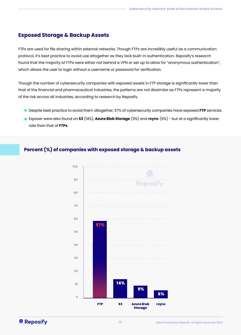### **Exposed Storage & Backup Assets**

FTPs are used for file sharing within external networks. Though FTPs are incredibly useful as a communication protocol, it's best practice to avoid use altogether as they lack built-in authentication. Reposify's research found that the majority of FTPs were either not behind a VPN or set up to allow for "anonymous authentication", which allows the user to login without a username or password for verification.

- ◆ Despite best practice to avoid them altogether, 57% of cybersecurity companies have exposed FTP services.
- Exposer were also found on **S3** (14%), **Azure Blob Storage** (9%) and **rsync** (6%) but at a significantly lower rate than that of **FTPs**.

Though the number of cybersecurity companies with exposed assets in FTP storage is significantly lower than that of the financial and pharmaceutical industries, the patterns are not dissimilar as FTPs represent a majority of the risk across all industries, according to research by Reposify.

#### **Percent (%) of companies with exposed storage & backup assets**





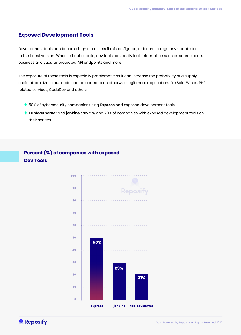11



## **Exposed Development Tools**

Development tools can become high risk assets if misconfigured, or failure to regularly update tools to the latest version. When left out of date, dev tools can easily leak information such as source code, business analytics, unprotected API endpoints and more.

- ◆ 50% of cybersecurity companies using **Express** had exposed development tools.
- **Tableau server** and **jenkins** saw 21% and 29% of companies with exposed development tools on their servers.

The exposure of these tools is especially problematic as it can increase the probability of a supply chain attack. Malicious code can be added to an otherwise legitimate application, like SolarWinds, PHP related services, CodeDev and others.





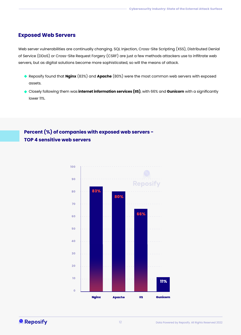#### **Exposed Web Servers**

Web server vulnerabilities are continually changing. SQL Injection, Cross-Site Scripting (XSS), Distributed Denial of Service (DDoS) or Cross-Site Request Forgery (CSRF) are just a few methods attackers use to infiltrate web servers, but as digital solutions become more sophisticated, so will the means of attack.

- Reposify found that **Nginx** (83%) and **Apache** (80%) were the most common web servers with exposed assets.
- Closely following them was **internet information services (IIS)**, with 66% and **Gunicorn** with a significantly lower 11%.

## **Percent (%) of companies with exposed web servers - TOP 4 sensitive web servers**





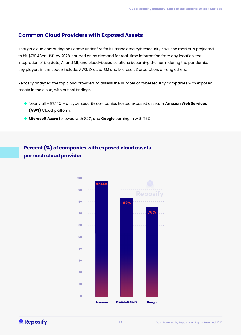## **Common Cloud Providers with Exposed Assets**

Though cloud computing has come under fire for its associated cybersecurity risks, the market is projected to hit \$791.48bn USD by 2028, spurred on by demand for real-time information from any location, the integration of big data, AI and ML, and cloud-based solutions becoming the norm during the pandemic. Key players in the space include: AWS, Oracle, IBM and Microsoft Corporation, among others.

Reposify analyzed the top cloud providers to assess the number of cybersecurity companies with exposed assets in the cloud, with critical findings.

- Nearly all 97.14% of cybersecurity companies hosted exposed assets in **Amazon Web Services (AWS)** Cloud platform.
- **Microsoft Azure** followed with 82%, and **Google** coming in with 76%.

**Percent (%) of companies with exposed cloud assets per each cloud provider**





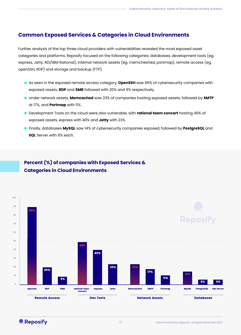## **Common Exposed Services & Categories in Cloud Environments**

Further analysis of the top three cloud providers with vulnerabilities revealed the most exposed asset categories and platforms. Reposify focused on the following categories: databases, development tools (eg. express, Jetty, RDi/IBM Rational), internal network assets (eg. memcheshed, portmap), remote access (eg. openSSH, RDP) and storage and backup (FTP).

- As seen in the exposed remote access category, **OpenSSH** saw 89% of cybersecurity companies with exposed assets. **RDP** and **SMB** followed with 20% and 9% respectively.
- Under network assets, **Memcached** saw 23% of companies hosting exposed assets, followed by **SMTP** at 17%, and **Portmap** with 11%.
- Development Tools on the cloud were also vulnerable, with **rational team concert** hosting 49% of exposed assets, express with 40% and **Jetty** with 23%.
- Finally, databases **MySQL** saw 14% of cybersecurity companies exposed, followed by **PostgreSQL** and **SQL** Server with 6% each.

## **Percent (%) of companies with Exposed Services & Categories in Cloud Environments**





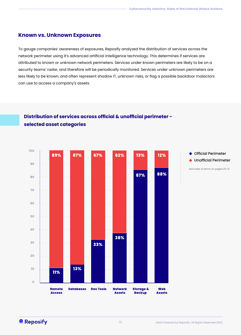#### **Known vs. Unknown Exposures**

To gauge companies' awareness of exposures, Reposify analyzed the distribution of services across the network perimeter using it's advanced artificial intelligence technology. This determines if services are attributed to known or unknown network perimeters. Services under known perimeters are likely to be on a security teams' radar, and therefore will be periodically monitored. Services under unknown perimeters are less likely to be known, and often represent shadow IT, unknown risks, or flag a possible backdoor malactors can use to access a company's assets.

## **Distribution of services across official & unofficial perimeter selected asset categories**





See index of terms on pages 20-21

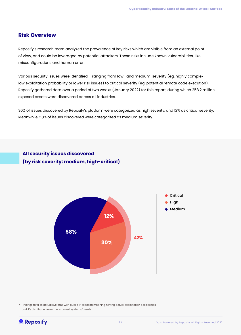### **Risk Overview**

Reposify's research team analyzed the prevalence of key risks which are visible from an external point of view, and could be leveraged by potential attackers. These risks include known vulnerabilities, like misconfigurations and human error.

Various security issues were identified – ranging from low- and medium-severity (eg. highly complex low exploitation probability or lower risk issues) to critical severity (eg. potential remote code execution). Reposify gathered data over a period of two weeks (January 2022) for this report, during which 258.2 million exposed assets were discovered across all industries.

30% of issues discovered by Reposify's platform were categorized as high severity, and 12% as critical severity. Meanwhile, 58% of issues discovered were categorized as medium severity.

**All security issues discovered (by risk severity: medium, high-critical)**

\* Findings refer to actual systems with public IP exposed meaning having actual exploitation possibilities and it's distribution over the scanned systems/assets



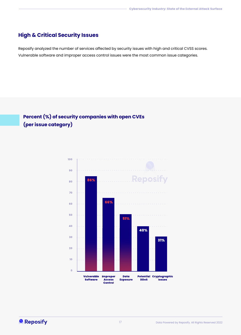## **High & Critical Security Issues**

Reposify analyzed the number of services affected by security issues with high and critical CVSS scores. Vulnerable software and improper access control issues were the most common issue categories.

## **Percent (%) of security companies with open CVEs (per issue category)**



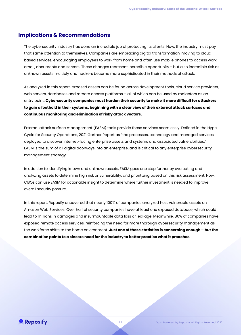As analyzed in this report, exposed assets can be found across development tools, cloud service providers, web servers, databases and remote access platforms – all of which can be used by malactors as an entry point. **Cybersecurity companies must harden their security to make it more difficult for attackers to gain a foothold in their systems, beginning with a clear view of their external attack surfaces and continuous monitoring and elimination of risky attack vectors.**

External attack surface management (EASM) tools provide these services seamlessly. Defined in the Hype Cycle for Security Operations, 2021 Gartner Report as "the processes, technology and managed services deployed to discover internet-facing enterprise assets and systems and associated vulnerabilities." EASM is the sum of all digital doorways into an enterprise, and is critical to any enterprise cybersecurity management strategy.

In addition to identifying known and unknown assets, EASM goes one step further by evaluating and analyzing assets to determine high risk or vulnerability, and prioritizing based on this risk assessment. Now, CISOs can use EASM for actionable insight to determine where further investment is needed to improve overall security posture.

In this report, Reposify uncovered that nearly 100% of companies analyzed host vulnerable assets on Amazon Web Services. Over half of security companies have at least one exposed database, which could lead to millions in damages and insurmountable data loss or leakage. Meanwhile, 86% of companies have exposed remote access services, reinforcing the need for more thorough cybersecurity management as the workforce shifts to the home environment. **Just one of these statistics is concerning enough – but the** 

**combination points to a sincere need for the industry to better practice what it preaches.** 



#### **Implications & Recommendations**

The cybersecurity industry has done an incredible job of protecting its clients. Now, the industry must pay that same attention to themselves. Companies are embracing digital transformation, moving to cloudbased services, encouraging employees to work from home and often use mobile phones to access work email, documents and servers. These changes represent incredible opportunity - but also incredible risk as unknown assets multiply and hackers become more sophisticated in their methods of attack.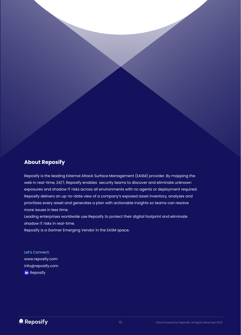## **About Reposify**

Reposify is the leading External Attack Surface Management (EASM) provider. By mapping the web in real-time, 24/7, Reposify enables security teams to discover and eliminate unknown exposures and shadow IT risks across all environments with no agents or deployment required. Reposify delivers an up-to-date view of a company's exposed asset inventory, analyzes and prioritizes every asset and generates a plan with actionable insights so teams can resolve more issues in less time.

Let's Connect: www.reposify.com info@reposify.com in Reposify



Leading enterprises worldwide use Reposify to protect their digital footprint and eliminate shadow IT risks in real-time.

Reposify is a Gartner Emerging Vendor in the EASM space.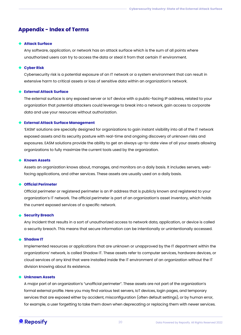#### **Appendix - Index of Terms**

#### **Attack Surface**

Any software, application, or network has an attack surface which is the sum of all points where unauthorized users can try to access the data or steal it from that certain IT environment.

#### **Cyber Risk**

Cybersecurity risk is a potential exposure of an IT network or a system environment that can result in extensive harm to critical assets or loss of sensitive data within an organization's network.

#### **External Attack Surface**

The external surface is any exposed server or IoT device with a public-facing IP address, related to your organization that potential attackers could leverage to break into a network, gain access to corporate data and use your resources without authorization.

#### **External Attack Surface Management**

'EASM' solutions are specially designed for organizations to gain instant visibility into all of the IT network exposed assets and its security posture with real-time and ongoing discovery of unknown risks and exposures. EASM solutions provide the ability to get an always up-to-date view of all your assets allowing organizations to fully maximize the current tools used by the organization.

#### **Known Assets**

Assets an organization knows about, manages, and monitors on a daily basis. It includes servers, webfacing applications, and other services. These assets are usually used on a daily basis.

#### **Official Perimeter**

Official perimeter or registered perimeter is an IP address that is publicly known and registered to your organization's IT network. The official perimeter is part of an organization's asset inventory, which holds the current exposed services of a specific network.

#### **Security Breach**

Any incident that results in a sort of unauthorized access to network data, application, or device is called a security breach. This means that secure information can be intentionally or unintentionally accessed.

#### **Shadow IT**

Implemented resources or applications that are unknown or unapproved by the IT department within the organizations' network, is called Shadow IT. These assets refer to computer services, hardware devices, or cloud services of any kind that were installed inside the IT environment of an organization without the IT division knowing about its existence.

#### **Unknown Assets**

A major part of an organization's "unofficial perimeter". These assets are not part of the organization's formal external profile. Here you may find various test servers, IoT devices, login pages, and temporary services that are exposed either by accident, misconfiguration (often default settings), or by human error, for example, a user forgetting to take them down when deprecating or replacing them with newer services.